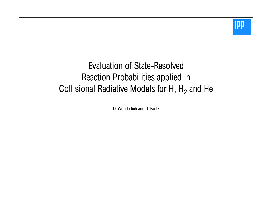

# Evaluation of State-Resolved Reaction Probabilities applied in Collisional Radiative Models for H, H<sub>2</sub> and He

D. Wünderlich and U. Fantz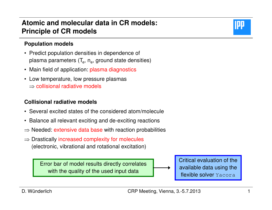### **Atomic and molecular data in CR models:Principle of CR models**

#### **Population models**

- Predict population densities in dependence of plasma parameters  $(T_e, n_e)$ , ground state densities)
- Main field of application: plasma diagnostics
- Low temperature, low pressure plasmas $\Rightarrow$  collisional radiative models

#### **Collisional radiative models**

- Several excited states of the considered atom/molecule
- Balance all relevant exciting and de-exciting reactions
- $\Rightarrow$  Needed: extensive data base with reaction probabilities
- ⇒ Drastically increased complexity for molecules (electronic, vibrational and rotational excitation)

Error bar of model results directly correlates with the quality of the used input data

Critical evaluation of the available data using the flexible solver Yacora

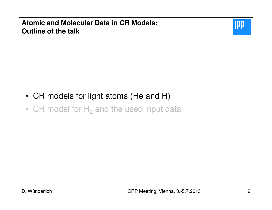

- CR models for light atoms (He and H)
- CR model for  $H_2$  and the used input data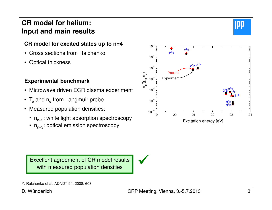### **CR model for helium:Input and main results**

### **CR model for excited states up to n=4**

- Cross sections from Ralchenko
- Optical thickness

#### **Experimental benchmark**

- Microwave driven ECR plasma experiment
- $\mathsf{T}_{\mathrm{e}}$  and  $\mathsf{n}_{\mathrm{e}}$  from Langmuir probe
- Measured population densities:
	- $n_{n=2}$ : white light absorption spectroscopy
	- $n_{n=3}$ : optical emission spectroscopy

Excellent agreement of CR model results with measured population densities

 $\checkmark$ 



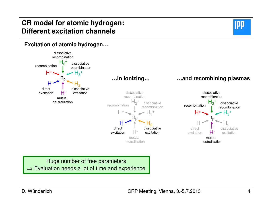### **CR model for atomic hydrogen:Different excitation channels**



#### **Excitation of atomic hydrogen…**



Huge number of free parameters⇒ Evaluation needs a lot of time and experience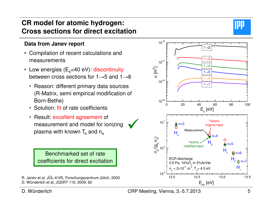### **CR model for atomic hydrogen:Cross sections for direct excitation**

### **Data from Janev report**

- Compilation of recent calculations and measurements
- Low energies (E $_{\rm e}$ <40 eV): discontinuity between cross sections for 1 $\rightarrow$ 5 and 1 $\rightarrow$ 6
	- Reason: different primary data sources (R-Matrix, semi empirical modification of Born-Bethe)
	- Solution: fit of rate coefficients
	- Result: excellent agreement of measurement and model for ionizing plasma with known  $\mathsf{T}_{\mathrm{e}}$  and  $\mathsf{n}_{\mathrm{e}}$

Benchmarked set of rate coefficients for direct excitation

- R. Janev et al, JÜL-4105, Forschungszentrum Jülich, 2003D. Wünderlich et al, JQSRT 110, 2009, 62
- CRP Meeting, Vienna, 3.-5.7.2013

 $\checkmark$ 



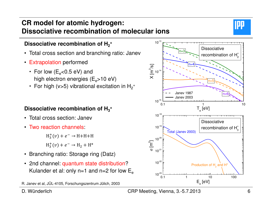### **CR model for atomic hydrogen:Dissociative recombination of molecular ions**



#### Dissociative recombination of H<sub>2</sub><sup>+</sup>

- Total cross section and branching ratio: Janev
- Extrapolation performed
	- For low ( $E_{\rm e}$ <0.5 eV) and high electron energies  $(E_e > 10 eV)$
	- For high (v>5) vibrational excitation in  $\mathsf{H}_2^+$

#### **Dissociative recombination of H3<sup>+</sup>**

- Total cross section: Janev
- Two reaction channels:

 $H_3^+(v) + e^- \rightarrow H + H + H$ 

 $H_3^+(v) + e^- \rightarrow H_2 + H^*$ 

- Branching ratio: Storage ring (Datz)
- 2nd channel: quantum state distribution?Kulander et al: only n=1 and n=2 for low  $\mathsf{E}_\mathrm{e}$

D. Wünderlich

#### CRP Meeting, Vienna, 3.-5.7.2013<sup>6</sup>



R. Janev et al, JÜL-4105, Forschungszentrum Jülich, 2003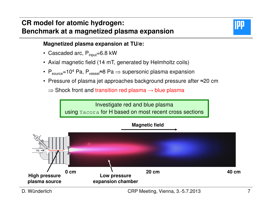### **CR model for atomic hydrogen:Benchmark at a magnetized plasma expansion**



#### **Magnetized plasma expansion at TU/e:**

- Cascaded arc, P<sub>input</sub>=6.8 kW
- Axial magnetic field (14 mT, generated by Helmholtz coils)
- $\textsf{P}_\textsf{source}{=}\textsf{10}^{\textsf{4}}$  Pa,  $\textsf{P}_\textsf{vesse}{}$ ≈8 Pa  $\Rightarrow$  supersonic plasma expansion
- Pressure of plasma jet approaches background pressure after ≈20 cm
	- $\Rightarrow$  Shock front and transition red plasma  $\rightarrow$  blue plasma

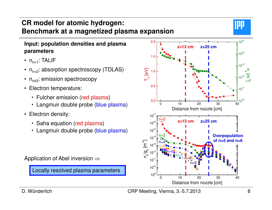### **CR model for atomic hydrogen:Benchmark at a magnetized plasma expansion**

#### **Input: population densities and plasma parameters**

- $\,$  n $_{\sf n=1}$ : TALIF
- $n_{n=2}$ : absorption spectroscopy (TDLAS)
- $~\mathsf{n}_{\mathsf{n}\geq 3}$ : emission spectroscopy
- Electron temperature:
	- Fulcher emission (red plasma)
	- Langmuir double probe (<mark>blue plasma</mark>)
- Electron density:
	- Saha equation (red plasma)
	- Langmuir double probe (<mark>blue plasma</mark>)



Locally resolved plasma parameters



D. Wünderlich

IU!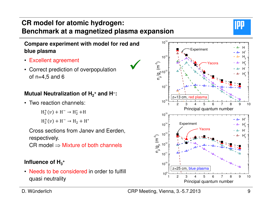## **CR model for atomic hydrogen:Benchmark at a magnetized plasma expansion**

 $\checkmark$ 

### **Compare experiment with model for red and blue plasma**

- Excellent agreement
- Correct prediction of overpopulation of  $n=4,5$  and 6

### **Mutual Neutralization of H2<sup>+</sup> and H−:**

• Two reaction channels:

 $H_2^+(v) + H^- \rightarrow H_2^* + H$ 

 $H_2^+(v) + H^- \rightarrow H_2 + H^*$ 

Cross sections from Janev and Eerden, respectively.

 $\mathsf{CR}$  model  $\Rightarrow$  Mixture of both channels

### Influence of  $H_3$ <sup>+</sup>

• Needs to be considered in order to fulfill quasi neutrality



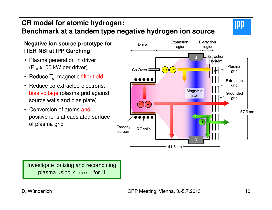### **CR model for atomic hydrogen:Benchmark at a tandem type negative hydrogen ion source**

#### **Negative ion source prototype for ITER NBI at IPP Garching**

- Plasma generation in driver  $(P_{BF} \leq 100$  kW per driver)
- Reduce T $_{\rm e}$ : magnetic filter field
- Reduce co-extracted electrons: bias voltage (plasma grid against source walls and bias plate)
- Conversion of atoms and positive ions at caesiated surface of plasma grid



Investigate ionizing and recombining **plasma using** Yacora <mark>for H</mark>

IPP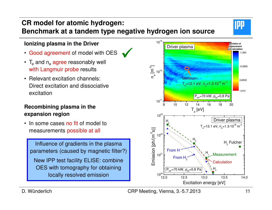### **CR model for atomic hydrogen:Benchmark at a tandem type negative hydrogen ion source**

 $\checkmark$ 

#### **Ionizing plasma in the Driver**

- Good agreement of model with OES
- $T_{\rm e}$  and  $n_{\rm e}$  agree reasonably well with Langmuir probe results
- Relevant excitation channels: Direct excitation and dissociative excitation

#### **Recombining plasma in the expansion region**

• In some cases no fit of model to measurements possible at all

Influence of gradients in the plasma parameters (caused by magnetic filter?)New IPP test facility ELISE: combine OES with tomography for obtaining locally resolved emission





D. Wünderlich

**IPP**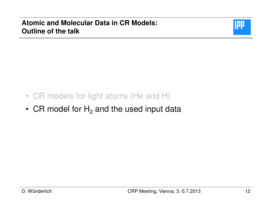

- CR models for light atoms (He and H)
- CR model for  ${\sf H_2}$  and the used input data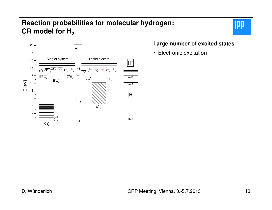### **Reaction probabilities for molecular hydrogen:CR model for H2**



#### **Large number of excited states**

• Electronic excitation

**IPP**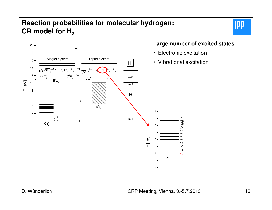### **Reaction probabilities for molecular hydrogen:CR model for H2**





#### **Large number of excited states**

- Electronic excitation
- Vibrational excitation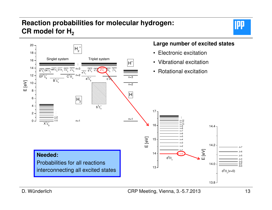### **Reaction probabilities for molecular hydrogen:CR model for H2**





D. Wünderlich

#### CRP Meeting, Vienna, 3.-5.7.2013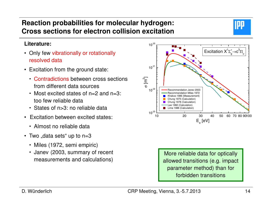#### D. Wünderlich

### **Reaction probabilities for molecular hydrogen:Cross sections for electron collision excitation**

#### **Literature:**

- Only few vibrationally or rotationally resolved data
- Excitation from the ground state:
	- Contradictions between cross sections from different data sources
	- Most excited states of n=2 and n=3: too few reliable data
	- States of n>3: no reliable data
- Excitation between excited states:
	- Almost no reliable data
- Two "data sets" up to n=3  $\,$ 
	- Miles (1972, semi empiric)
	- Janev (2003, summary of recent measurements and calculations)





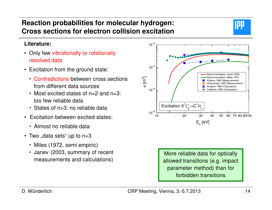#### D. Wünderlich

 $10^{-21}$ 

 $10^{-20}$ 

### **Reaction probabilities for molecular hydrogen:Cross sections for electron collision excitation**

#### **Literature:**

- Only few vibrationally or rotationally resolved data
- Excitation from the ground state:
	- Contradictions between cross sections from different data sources
	- Most excited states of n=2 and n=3: too few reliable data
	- States of n>3: no reliable data
- Excitation between excited states:
	- Almost no reliable data
- Two "data sets" up to n=3  $\,$ 
	- Miles (1972, semi empiric)
	- Janev (2003, summary of recent measurements and calculations)



More reliable data for optically allowed transitions (e.g. impact parameter method) than for forbidden transitions



 Recommendation Janev 2003Recommendation Miles 1972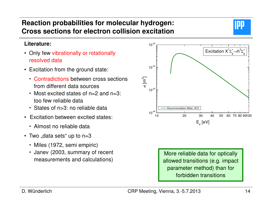### **Reaction probabilities for molecular hydrogen:Cross sections for electron collision excitation**

#### **Literature:**

- Only few vibrationally or rotationally resolved data
- Excitation from the ground state:
	- Contradictions between cross sections from different data sources
	- Most excited states of n=2 and n=3: too few reliable data
	- States of n>3: no reliable data
- Excitation between excited states:
	- Almost no reliable data
- Two "data sets" up to n=3  $\,$ 
	- Miles (1972, semi empiric)
	- Janev (2003, summary of recent measurements and calculations)





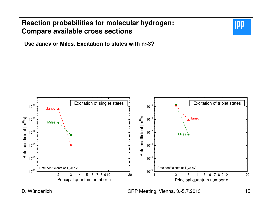

**Use Janev or Miles. Excitation to states with n>3?**



D. Wünderlich

#### CRP Meeting, Vienna, 3.-5.7.2013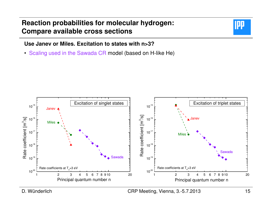

**Use Janev or Miles. Excitation to states with n>3?**

• Scaling used in the Sawada CR model (based on H-like He)



D. Wünderlich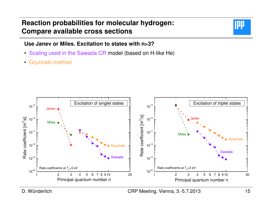

#### **Use Janev or Miles. Excitation to states with n>3?**

- Scaling used in the Sawada CR model (based on H-like He)
- Gryzinski method



D. Wünderlich

#### CRP Meeting, Vienna, 3.-5.7.2013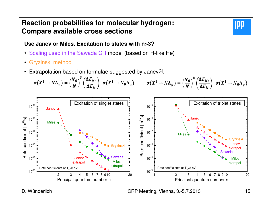

#### **Use Janev or Miles. Excitation to states with n>3?**

- Scaling used in the Sawada CR model (based on H-like He)
- Gryzinski method
- Extrapolation based on formulae suggested by Janev $^{[2]}$ :

$$
\sigma(X^1 \to N\Lambda_u) = \left(\frac{N_0}{N}\right)^3 \left(\frac{\Delta E_{N_0}}{\Delta E_N}\right) \cdot \sigma(X^1 \to N_0\Lambda_u) \qquad \sigma(X^1 \to N\Lambda_g) = \left(\frac{N_0}{N}\right)^6 \left(\frac{\Delta E_{N_0}}{\Delta E_N}\right) \cdot \sigma(X^1 \to N_0\Lambda_g)
$$



D. Wünderlich

#### CRP Meeting, Vienna, 3.-5.7.2013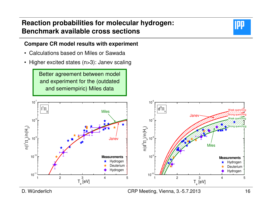#### **Compare CR model results with experiment**

- Calculations based on Miles or Sawada
- Higher excited states (n>3): Janev scaling

Better agreement between model and experiment for the (outdated and semiempiric) Miles data



D. Wünderlich

CRP Meeting, Vienna, 3.-5.7.2013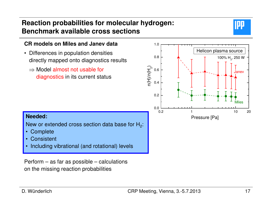

#### **CR models on Miles and Janev data**

- Differences in population densities directly mapped onto diagnostics results
	- $\Rightarrow$  Model almost not usable for<br>cliented in its current stat diagnostics in its current status



#### **Needed:**

New or extended cross section data base for  $H_2$ :

- Complete
- **Consistent** •
- •Including vibrational (and rotational) levels

Perform – as far as possible – calculations on the missing reaction probabilities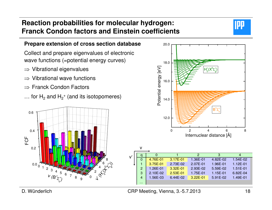### **Reaction probabilities for molecular hydrogen:Franck Condon factors and Einstein coefficients**



#### **Prepare extension of cross section database**

Collect and prepare eigenvalues of electronic wave functions (=potential energy curves)

- ⇒ Vibrational eigenvalues
- ⇒ Vibrational wave functions
- ⇒ Franck Condon Factors
- $\ldots$  for  ${\sf H_2}$  and  ${\sf H_2^+}$  (and its isotopomeres)





v'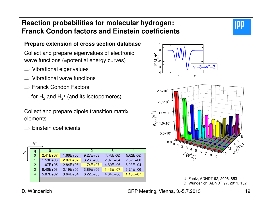### **Reaction probabilities for molecular hydrogen:Franck Condon factors and Einstein coefficients**



Collect and prepare eigenvalues of electronic wave functions (=potential energy curves)

- ⇒ Vibrational eigenvalues
- ⇒ Vibrational wave functions
- ⇒ Franck Condon Factors
- $\ldots$  for  ${\sf H_2}$  and  ${\sf H_2^+}$  (and its isotopomeres)

Collect and prepare dipole transition matrix elements

 $\Rightarrow$  Einstein coefficients

|         | V"             |              |              |              |              |              |  |
|---------|----------------|--------------|--------------|--------------|--------------|--------------|--|
| $V^{'}$ | q              | 0            |              | 2            | 3            | 4            |  |
|         | $\Omega$       | $2.41E+07$   | $1.66E + 06$ | $9.27E + 03$ | 7.75E-02     | 5.62E-02     |  |
|         | 1              | $1.53E + 06$ | $2.07E + 07$ | $3.26E + 06$ | $2.97E + 04$ | $2.82E + 00$ |  |
|         | 2              | $1.07E + 05$ | $2.84E + 06$ | $1.74E + 07$ | $4.80E + 06$ | $6.23E + 04$ |  |
|         | 3              | $8.40E + 03$ | $3.19E + 05$ | $3.89E + 06$ | $1.43E + 07$ | $6.24E + 06$ |  |
|         | $\overline{4}$ | $5.87E+02$   | $3.64E + 04$ | $6.22E + 05$ | $4.64E + 06$ | $1.15E + 07$ |  |
|         | $\cdots$       |              |              |              |              |              |  |



U. Fantz, ADNDT 92, 2006, 853D. Wünderlich, ADNDT 97, 2011, 152

D. Wünderlich

IЩ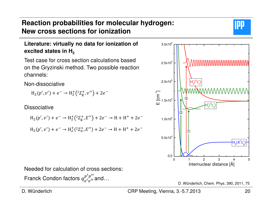### **Literature: virtually no data for ionization of excited states in H2**

Test case for cross section calculations based on the Gryzinski method. Two possible reaction channels:

Non-dissociative

 $H_2(p', v') + e^- \rightarrow H_2^+(2\Sigma_g^+, v'') + 2e^-$ 

**Dissociative** 

$$
H_2(p', v') + e^- \rightarrow H_2^+(2\Sigma_g^+, E'') + 2e^- \rightarrow H + H^+ + 2e^-
$$
  

$$
H_2(p', v') + e^- \rightarrow H_2^+(2\Sigma_u^+, E'') + 2e^- \rightarrow H + H^+ + 2e^-
$$

Needed for calculation of cross sections:

Franck Condon factors  $q_{n'n'}^{p'p''}$  and...



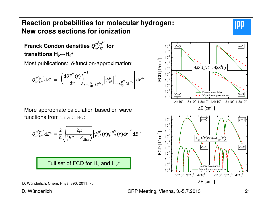

### **Franck Condon densities**  $Q_{n'F'}^{p''p''}$  **for transitions H2**<sup>↔</sup>**H2<sup>+</sup>**

Most publications: δ-function-approximation:

$$
Q_{v'E'}^{p'p''} dE'' = \left| \left( \frac{dU^{p''}(r)}{dr} \right)_{r=r_{\text{tp}}^{p''}(E'')}^{-1} \left| \psi_{v'}^{p'} \right|_{r=r_{\text{tp}}^{p''}(E'')}^{2} \right| dE''
$$

More appropriate calculation based on wave functions from TraDiMo:

$$
Q_{v'E'}^{p'p''} dE'' = \frac{2}{h} \sqrt{\frac{2\mu}{(E'' - E_{diss}'')}} |\psi_{v'}^{p'}(r)\psi_{v''}^{p''}(r) dr|^{2} dE''
$$

Full set of FCD for  $\mathsf{H}_2$  and  $\mathsf{H}_{2}^+$ 



D. Wünderlich

CRP Meeting, Vienna, 3.-5.7.2013

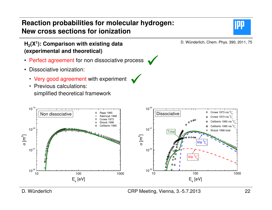#### **H2(X<sup>1</sup>): Comparison with existing data (experimental and theoretical)**

- Perfect agreement for non dissociative process
- Dissociative ionization:
	- Very good agreement with experiment  $\checkmark$
	- Previous calculations: simplified theoretical framework



IJ!



D. Wünderlich

#### CRP Meeting, Vienna, 3.-5.7.2013

 $\checkmark$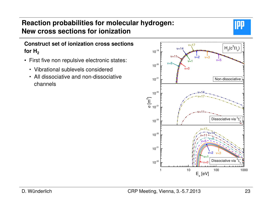

#### **Construct set of ionization cross sections** for  $H_2$

- First five non repulsive electronic states:
	- Vibrational sublevels considered
	- All dissociative and non-dissociative channels

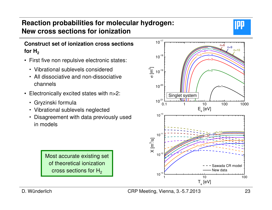#### **Construct set of ionization cross sections** for  $H_2$

- First five non repulsive electronic states:
	- Vibrational sublevels considered
	- All dissociative and non-dissociative channels
- Electronically excited states with n>2:
	- Gryzinski formula
	- Vibrational sublevels neglected
	- Disagreement with data previously used in models





D. Wünderlich

IPI.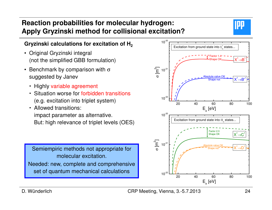### **Reaction probabilities for molecular hydrogen:Apply Gryzinski method for collisional excitation?**



#### **Gryzinski calculations for excitation of H<sup>2</sup>**

- Original Gryzinski integral (not the simplified GBB formulation)
- Benchmark by comparison with  $\sigma$ suggested by Janev
	- Highly variable agreement
	- **Situation worse for forbidden transitions** (e.g. excitation into triplet system)
	- Allowed transitions: impact parameter as alternative. But: high relevance of triplet levels (OES)

Semiempiric methods not appropriate for molecular excitation.Needed: new, complete and comprehensive set of quantum mechanical calculations



D. Wünderlich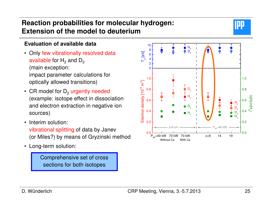### **Reaction probabilities for molecular hydrogen:Extension of the model to deuterium**



#### **Evaluation of available data**

- Only few vibrationally resolved data available for  ${\sf H_2}$  and  ${\sf D_2}$ (main exception: impact parameter calculations for optically allowed transitions)
- CR model for  $D_2$  urgently needed (example: isotope effect in dissociation and electron extraction in negative ion sources)
- Interim solution: vibrational splitting of data by Janev(or Miles?) by means of Gryzinski method
- Long-term solution:

Comprehensive set of cross sections for both isotopes